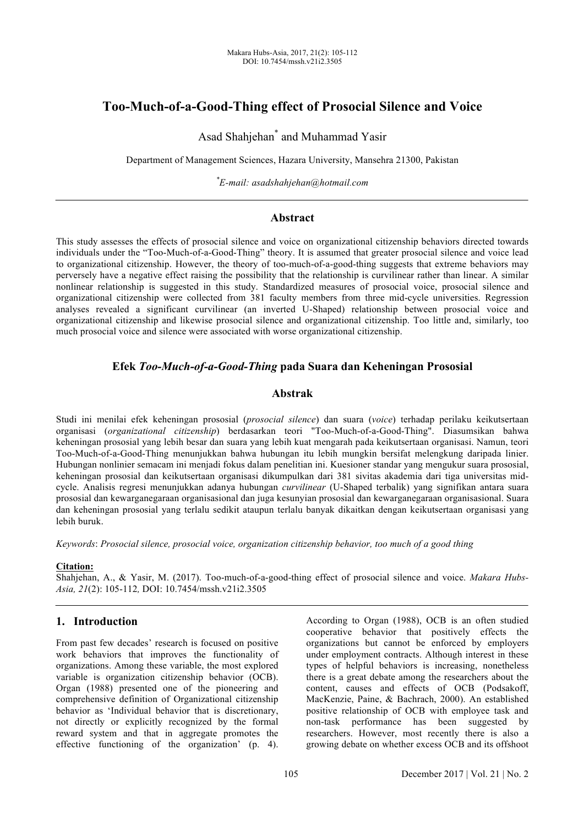# **Too-Much-of-a-Good-Thing effect of Prosocial Silence and Voice**

Asad Shahjehan\* and Muhammad Yasir

Department of Management Sciences, Hazara University, Mansehra 21300, Pakistan

*\* E-mail: asadshahjehan@hotmail.com*

## **Abstract**

This study assesses the effects of prosocial silence and voice on organizational citizenship behaviors directed towards individuals under the "Too-Much-of-a-Good-Thing" theory. It is assumed that greater prosocial silence and voice lead to organizational citizenship. However, the theory of too-much-of-a-good-thing suggests that extreme behaviors may perversely have a negative effect raising the possibility that the relationship is curvilinear rather than linear. A similar nonlinear relationship is suggested in this study. Standardized measures of prosocial voice, prosocial silence and organizational citizenship were collected from 381 faculty members from three mid-cycle universities. Regression analyses revealed a significant curvilinear (an inverted U-Shaped) relationship between prosocial voice and organizational citizenship and likewise prosocial silence and organizational citizenship. Too little and, similarly, too much prosocial voice and silence were associated with worse organizational citizenship.

## **Efek** *Too-Much-of-a-Good-Thing* **pada Suara dan Keheningan Prososial**

## **Abstrak**

Studi ini menilai efek keheningan prososial (*prosocial silence*) dan suara (*voice*) terhadap perilaku keikutsertaan organisasi (*organizational citizenship*) berdasarkan teori "Too-Much-of-a-Good-Thing". Diasumsikan bahwa keheningan prososial yang lebih besar dan suara yang lebih kuat mengarah pada keikutsertaan organisasi. Namun, teori Too-Much-of-a-Good-Thing menunjukkan bahwa hubungan itu lebih mungkin bersifat melengkung daripada linier. Hubungan nonlinier semacam ini menjadi fokus dalam penelitian ini. Kuesioner standar yang mengukur suara prososial, keheningan prososial dan keikutsertaan organisasi dikumpulkan dari 381 sivitas akademia dari tiga universitas midcycle. Analisis regresi menunjukkan adanya hubungan *curvilinear* (U-Shaped terbalik) yang signifikan antara suara prososial dan kewarganegaraan organisasional dan juga kesunyian prososial dan kewarganegaraan organisasional. Suara dan keheningan prososial yang terlalu sedikit ataupun terlalu banyak dikaitkan dengan keikutsertaan organisasi yang lebih buruk.

*Keywords*: *Prosocial silence, prosocial voice, organization citizenship behavior, too much of a good thing*

### **Citation:**

Shahjehan, A., & Yasir, M. (2017). Too-much-of-a-good-thing effect of prosocial silence and voice. *Makara Hubs-Asia, 21*(2): 105-112*,* DOI: 10.7454/mssh.v21i2.3505

## **1. Introduction**

From past few decades' research is focused on positive work behaviors that improves the functionality of organizations. Among these variable, the most explored variable is organization citizenship behavior (OCB). Organ (1988) presented one of the pioneering and comprehensive definition of Organizational citizenship behavior as 'Individual behavior that is discretionary, not directly or explicitly recognized by the formal reward system and that in aggregate promotes the effective functioning of the organization' (p. 4). According to Organ (1988), OCB is an often studied cooperative behavior that positively effects the organizations but cannot be enforced by employers under employment contracts. Although interest in these types of helpful behaviors is increasing, nonetheless there is a great debate among the researchers about the content, causes and effects of OCB (Podsakoff, MacKenzie, Paine, & Bachrach, 2000). An established positive relationship of OCB with employee task and non-task performance has been suggested by researchers. However, most recently there is also a growing debate on whether excess OCB and its offshoot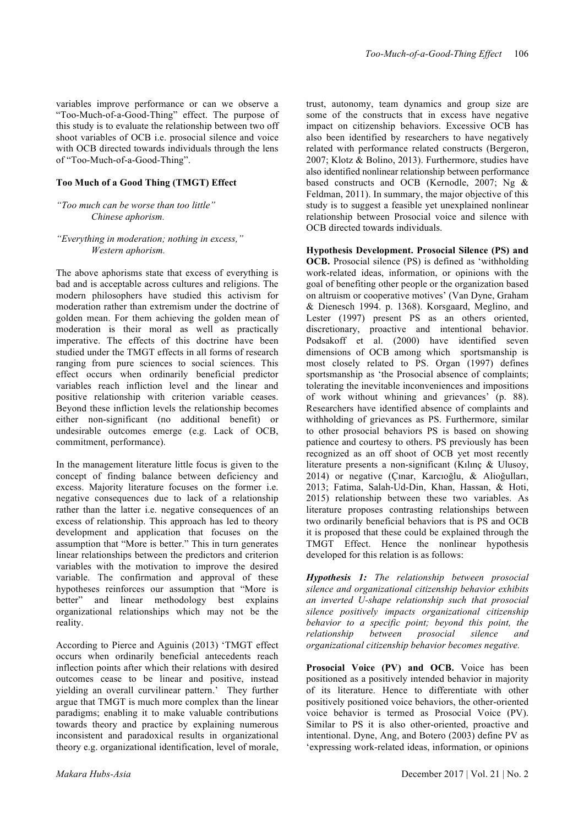variables improve performance or can we observe a "Too-Much-of-a-Good-Thing" effect. The purpose of this study is to evaluate the relationship between two off shoot variables of OCB i.e. prosocial silence and voice with OCB directed towards individuals through the lens of "Too-Much-of-a-Good-Thing".

#### **Too Much of a Good Thing (TMGT) Effect**

## *"Too much can be worse than too little" Chinese aphorism.*

#### *"Everything in moderation; nothing in excess," Western aphorism.*

The above aphorisms state that excess of everything is bad and is acceptable across cultures and religions. The modern philosophers have studied this activism for moderation rather than extremism under the doctrine of golden mean. For them achieving the golden mean of moderation is their moral as well as practically imperative. The effects of this doctrine have been studied under the TMGT effects in all forms of research ranging from pure sciences to social sciences. This effect occurs when ordinarily beneficial predictor variables reach infliction level and the linear and positive relationship with criterion variable ceases. Beyond these infliction levels the relationship becomes either non-significant (no additional benefit) or undesirable outcomes emerge (e.g. Lack of OCB, commitment, performance).

In the management literature little focus is given to the concept of finding balance between deficiency and excess. Majority literature focuses on the former i.e. negative consequences due to lack of a relationship rather than the latter i.e. negative consequences of an excess of relationship. This approach has led to theory development and application that focuses on the assumption that "More is better." This in turn generates linear relationships between the predictors and criterion variables with the motivation to improve the desired variable. The confirmation and approval of these hypotheses reinforces our assumption that "More is better" and linear methodology best explains organizational relationships which may not be the reality.

According to Pierce and Aguinis (2013) 'TMGT effect occurs when ordinarily beneficial antecedents reach inflection points after which their relations with desired outcomes cease to be linear and positive, instead yielding an overall curvilinear pattern.' They further argue that TMGT is much more complex than the linear paradigms; enabling it to make valuable contributions towards theory and practice by explaining numerous inconsistent and paradoxical results in organizational theory e.g. organizational identification, level of morale,

trust, autonomy, team dynamics and group size are some of the constructs that in excess have negative impact on citizenship behaviors. Excessive OCB has also been identified by researchers to have negatively related with performance related constructs (Bergeron, 2007; Klotz & Bolino, 2013). Furthermore, studies have also identified nonlinear relationship between performance based constructs and OCB (Kernodle, 2007; Ng & Feldman, 2011). In summary, the major objective of this study is to suggest a feasible yet unexplained nonlinear relationship between Prosocial voice and silence with OCB directed towards individuals.

**Hypothesis Development. Prosocial Silence (PS) and OCB.** Prosocial silence (PS) is defined as 'withholding work-related ideas, information, or opinions with the goal of benefiting other people or the organization based on altruism or cooperative motives' (Van Dyne, Graham & Dienesch 1994. p. 1368). Korsgaard, Meglino, and Lester (1997) present PS as an others oriented, discretionary, proactive and intentional behavior. Podsakoff et al. (2000) have identified seven dimensions of OCB among which sportsmanship is most closely related to PS. Organ (1997) defines sportsmanship as 'the Prosocial absence of complaints; tolerating the inevitable inconveniences and impositions of work without whining and grievances' (p. 88). Researchers have identified absence of complaints and withholding of grievances as PS. Furthermore, similar to other prosocial behaviors PS is based on showing patience and courtesy to others. PS previously has been recognized as an off shoot of OCB yet most recently literature presents a non-significant (Kılınç & Ulusoy, 2014) or negative (Çınar, Karcıoğlu, & Alioğulları, 2013; Fatima, Salah-Ud-Din, Khan, Hassan, & Hoti, 2015) relationship between these two variables. As literature proposes contrasting relationships between two ordinarily beneficial behaviors that is PS and OCB it is proposed that these could be explained through the TMGT Effect. Hence the nonlinear hypothesis developed for this relation is as follows:

*Hypothesis 1: The relationship between prosocial silence and organizational citizenship behavior exhibits an inverted U-shape relationship such that prosocial silence positively impacts organizational citizenship behavior to a specific point; beyond this point, the relationship between prosocial silence and organizational citizenship behavior becomes negative.*

**Prosocial Voice (PV) and OCB.** Voice has been positioned as a positively intended behavior in majority of its literature. Hence to differentiate with other positively positioned voice behaviors, the other-oriented voice behavior is termed as Prosocial Voice (PV). Similar to PS it is also other-oriented, proactive and intentional. Dyne, Ang, and Botero (2003) define PV as 'expressing work-related ideas, information, or opinions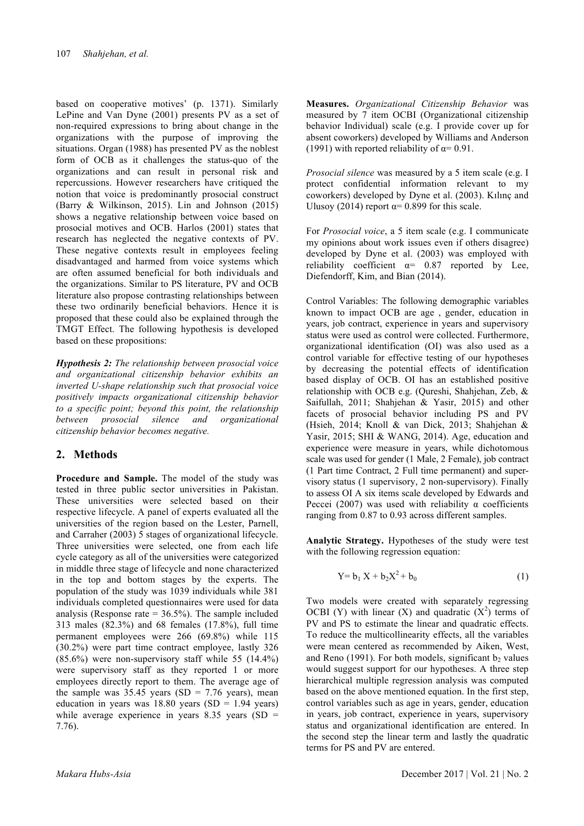based on cooperative motives' (p. 1371). Similarly LePine and Van Dyne (2001) presents PV as a set of non-required expressions to bring about change in the organizations with the purpose of improving the situations. Organ (1988) has presented PV as the noblest form of OCB as it challenges the status-quo of the organizations and can result in personal risk and repercussions. However researchers have critiqued the notion that voice is predominantly prosocial construct (Barry & Wilkinson, 2015). Lin and Johnson (2015) shows a negative relationship between voice based on prosocial motives and OCB. Harlos (2001) states that research has neglected the negative contexts of PV. These negative contexts result in employees feeling disadvantaged and harmed from voice systems which are often assumed beneficial for both individuals and the organizations. Similar to PS literature, PV and OCB literature also propose contrasting relationships between these two ordinarily beneficial behaviors. Hence it is proposed that these could also be explained through the TMGT Effect. The following hypothesis is developed based on these propositions:

*Hypothesis 2: The relationship between prosocial voice and organizational citizenship behavior exhibits an inverted U-shape relationship such that prosocial voice positively impacts organizational citizenship behavior to a specific point; beyond this point, the relationship between prosocial silence and organizational citizenship behavior becomes negative.*

### **2. Methods**

**Procedure and Sample.** The model of the study was tested in three public sector universities in Pakistan. These universities were selected based on their respective lifecycle. A panel of experts evaluated all the universities of the region based on the Lester, Parnell, and Carraher (2003) 5 stages of organizational lifecycle. Three universities were selected, one from each life cycle category as all of the universities were categorized in middle three stage of lifecycle and none characterized in the top and bottom stages by the experts. The population of the study was 1039 individuals while 381 individuals completed questionnaires were used for data analysis (Response rate  $= 36.5\%$ ). The sample included 313 males (82.3%) and 68 females (17.8%), full time permanent employees were 266 (69.8%) while 115 (30.2%) were part time contract employee, lastly 326 (85.6%) were non-supervisory staff while 55 (14.4%) were supervisory staff as they reported 1 or more employees directly report to them. The average age of the sample was  $35.45$  years (SD = 7.76 years), mean education in years was  $18.80$  years (SD = 1.94 years) while average experience in years  $8.35$  years  $(SD =$ 7.76).

**Measures.** *Organizational Citizenship Behavior* was measured by 7 item OCBI (Organizational citizenship behavior Individual) scale (e.g. I provide cover up for absent coworkers) developed by Williams and Anderson (1991) with reported reliability of  $\alpha$ = 0.91.

*Prosocial silence* was measured by a 5 item scale (e.g. I protect confidential information relevant to my coworkers) developed by Dyne et al. (2003). Kılınç and Ulusoy (2014) report  $\alpha$ = 0.899 for this scale.

For *Prosocial voice*, a 5 item scale (e.g. I communicate my opinions about work issues even if others disagree) developed by Dyne et al. (2003) was employed with reliability coefficient  $\alpha$ = 0.87 reported by Lee, Diefendorff, Kim, and Bian (2014).

Control Variables: The following demographic variables known to impact OCB are age , gender, education in years, job contract, experience in years and supervisory status were used as control were collected. Furthermore, organizational identification (OI) was also used as a control variable for effective testing of our hypotheses by decreasing the potential effects of identification based display of OCB. OI has an established positive relationship with OCB e.g. (Qureshi, Shahjehan, Zeb, & Saifullah, 2011; Shahjehan & Yasir, 2015) and other facets of prosocial behavior including PS and PV (Hsieh, 2014; Knoll & van Dick, 2013; Shahjehan & Yasir, 2015; SHI & WANG, 2014). Age, education and experience were measure in years, while dichotomous scale was used for gender (1 Male, 2 Female), job contract (1 Part time Contract, 2 Full time permanent) and supervisory status (1 supervisory, 2 non-supervisory). Finally to assess OI A six items scale developed by Edwards and Peccei (2007) was used with reliability  $\alpha$  coefficients ranging from 0.87 to 0.93 across different samples.

**Analytic Strategy.** Hypotheses of the study were test with the following regression equation:

$$
Y = b_1 X + b_2 X^2 + b_0 \tag{1}
$$

Two models were created with separately regressing OCBI (Y) with linear (X) and quadratic  $(X^2)$  terms of PV and PS to estimate the linear and quadratic effects. To reduce the multicollinearity effects, all the variables were mean centered as recommended by Aiken, West, and Reno  $(1991)$ . For both models, significant b<sub>2</sub> values would suggest support for our hypotheses. A three step hierarchical multiple regression analysis was computed based on the above mentioned equation. In the first step, control variables such as age in years, gender, education in years, job contract, experience in years, supervisory status and organizational identification are entered. In the second step the linear term and lastly the quadratic terms for PS and PV are entered.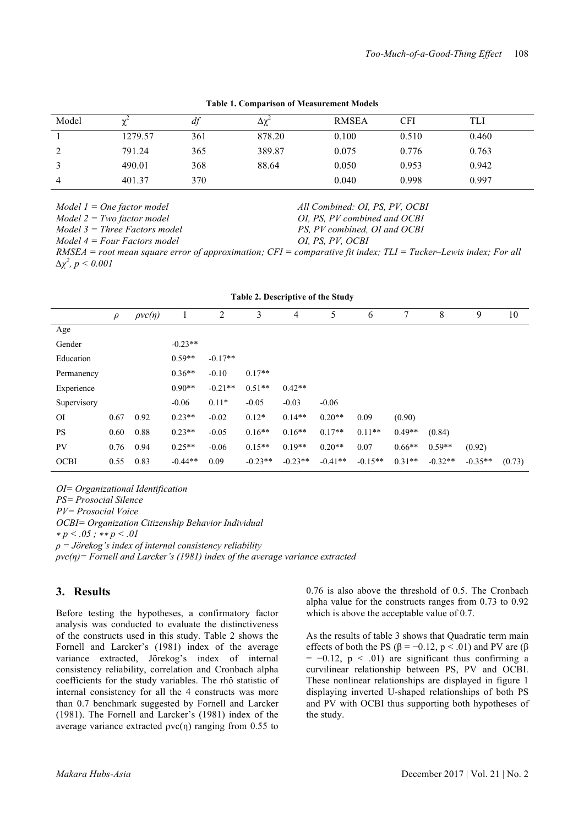| Model | ∼       | df  | Δχ     | <b>RMSEA</b> | CFI   | TLI   |
|-------|---------|-----|--------|--------------|-------|-------|
|       | 1279.57 | 361 | 878.20 | 0.100        | 0.510 | 0.460 |
|       | 791.24  | 365 | 389.87 | 0.075        | 0.776 | 0.763 |
|       | 490.01  | 368 | 88.64  | 0.050        | 0.953 | 0.942 |
| 4     | 401.37  | 370 |        | 0.040        | 0.998 | 0.997 |

*All Combined: OI, PS, PV, OCBI OI, PS, PV combined and OCBI PS, PV combined, OI and OCBI*

*OI, PS, PV, OCBI*

**Table 1. Comparison of Measurement Models**

*Model 1 = One factor model* 

*Model 2 = Two factor model* 

*Model 3 = Three Factors model*

*Model 4 = Four Factors model*

*RMSEA = root mean square error of approximation; CFI = comparative fit index; TLI = Tucker–Lewis index; For all ∆χ 2 , p < 0.001*

| Table 2. Descriptive of the Study |        |                    |           |           |           |           |           |           |          |           |           |        |
|-----------------------------------|--------|--------------------|-----------|-----------|-----------|-----------|-----------|-----------|----------|-----------|-----------|--------|
|                                   | $\rho$ | $\rho$ vc $(\eta)$ |           | 2         | 3         | 4         | 5         | 6         | 7        | 8         | 9         | 10     |
| Age                               |        |                    |           |           |           |           |           |           |          |           |           |        |
| Gender                            |        |                    | $-0.23**$ |           |           |           |           |           |          |           |           |        |
| Education                         |        |                    | $0.59**$  | $-0.17**$ |           |           |           |           |          |           |           |        |
| Permanency                        |        |                    | $0.36**$  | $-0.10$   | $0.17**$  |           |           |           |          |           |           |        |
| Experience                        |        |                    | $0.90**$  | $-0.21**$ | $0.51**$  | $0.42**$  |           |           |          |           |           |        |
| Supervisory                       |        |                    | $-0.06$   | $0.11*$   | $-0.05$   | $-0.03$   | $-0.06$   |           |          |           |           |        |
| <b>OI</b>                         | 0.67   | 0.92               | $0.23**$  | $-0.02$   | $0.12*$   | $0.14**$  | $0.20**$  | 0.09      | (0.90)   |           |           |        |
| <b>PS</b>                         | 0.60   | 0.88               | $0.23**$  | $-0.05$   | $0.16**$  | $0.16**$  | $0.17**$  | $0.11**$  | $0.49**$ | (0.84)    |           |        |
| PV                                | 0.76   | 0.94               | $0.25**$  | $-0.06$   | $0.15**$  | $0.19**$  | $0.20**$  | 0.07      | $0.66**$ | $0.59**$  | (0.92)    |        |
| <b>OCBI</b>                       | 0.55   | 0.83               | $-0.44**$ | 0.09      | $-0.23**$ | $-0.23**$ | $-0.41**$ | $-0.15**$ | $0.31**$ | $-0.32**$ | $-0.35**$ | (0.73) |

*OI= Organizational Identification*

*PS= Prosocial Silence*

*PV= Prosocial Voice*

*OCBI= Organization Citizenship Behavior Individual*

∗ *p < .05 ;* ∗∗ *p < .01*

*ρ = Jörekog's index of internal consistency reliability*

*ρvc(η)= Fornell and Larcker's (1981) index of the average variance extracted*

### **3. Results**

Before testing the hypotheses, a confirmatory factor analysis was conducted to evaluate the distinctiveness of the constructs used in this study. Table 2 shows the Fornell and Larcker's (1981) index of the average variance extracted, Jörekog's index of internal consistency reliability, correlation and Cronbach alpha coefficients for the study variables. The rhô statistic of internal consistency for all the 4 constructs was more than 0.7 benchmark suggested by Fornell and Larcker (1981). The Fornell and Larcker's (1981) index of the average variance extracted  $pvc(\eta)$  ranging from 0.55 to 0.76 is also above the threshold of 0.5. The Cronbach alpha value for the constructs ranges from 0.73 to 0.92 which is above the acceptable value of 0.7.

As the results of table 3 shows that Quadratic term main effects of both the PS ( $\beta$  = -0.12, p < .01) and PV are ( $\beta$  $= -0.12$ ,  $p < .01$ ) are significant thus confirming a curvilinear relationship between PS, PV and OCBI. These nonlinear relationships are displayed in figure 1 displaying inverted U-shaped relationships of both PS and PV with OCBI thus supporting both hypotheses of the study.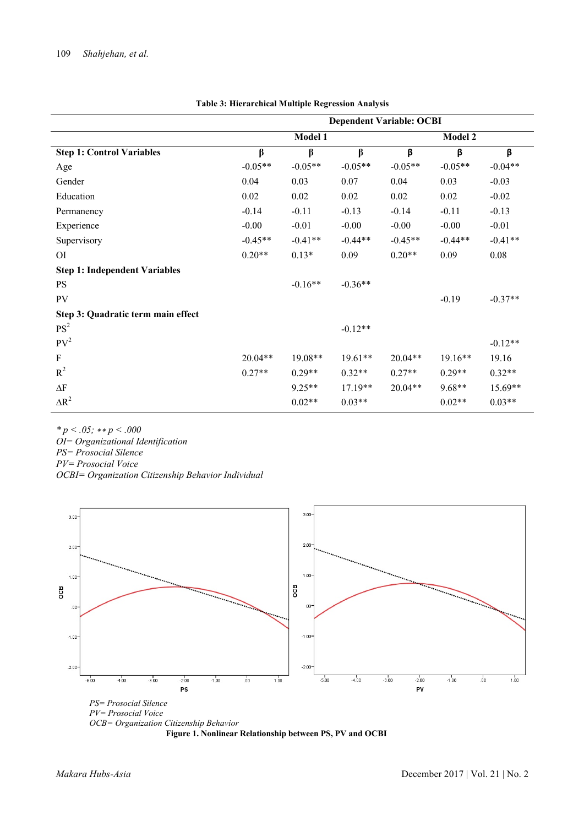|                                      | <b>Dependent Variable: OCBI</b> |                |           |                |           |           |  |
|--------------------------------------|---------------------------------|----------------|-----------|----------------|-----------|-----------|--|
|                                      |                                 | <b>Model 1</b> |           | <b>Model 2</b> |           |           |  |
| <b>Step 1: Control Variables</b>     | β                               | $\beta$        | $\beta$   | β              | β         | β         |  |
| Age                                  | $-0.05**$                       | $-0.05**$      | $-0.05**$ | $-0.05**$      | $-0.05**$ | $-0.04**$ |  |
| Gender                               | 0.04                            | 0.03           | 0.07      | 0.04           | 0.03      | $-0.03$   |  |
| Education                            | 0.02                            | 0.02           | 0.02      | 0.02           | 0.02      | $-0.02$   |  |
| Permanency                           | $-0.14$                         | $-0.11$        | $-0.13$   | $-0.14$        | $-0.11$   | $-0.13$   |  |
| Experience                           | $-0.00$                         | $-0.01$        | $-0.00$   | $-0.00$        | $-0.00$   | $-0.01$   |  |
| Supervisory                          | $-0.45**$                       | $-0.41**$      | $-0.44**$ | $-0.45**$      | $-0.44**$ | $-0.41**$ |  |
| ΟI                                   | $0.20**$                        | $0.13*$        | 0.09      | $0.20**$       | 0.09      | 0.08      |  |
| <b>Step 1: Independent Variables</b> |                                 |                |           |                |           |           |  |
| <b>PS</b>                            |                                 | $-0.16**$      | $-0.36**$ |                |           |           |  |
| PV                                   |                                 |                |           |                | $-0.19$   | $-0.37**$ |  |
| Step 3: Quadratic term main effect   |                                 |                |           |                |           |           |  |
| PS <sup>2</sup>                      |                                 |                | $-0.12**$ |                |           |           |  |
| PV <sup>2</sup>                      |                                 |                |           |                |           | $-0.12**$ |  |
| F                                    | $20.04**$                       | $19.08**$      | $19.61**$ | $20.04**$      | $19.16**$ | 19.16     |  |
| $R^2$                                | $0.27**$                        | $0.29**$       | $0.32**$  | $0.27**$       | $0.29**$  | $0.32**$  |  |
| $\Delta F$                           |                                 | $9.25**$       | $17.19**$ | $20.04**$      | 9.68**    | $15.69**$ |  |
| $\Delta R^2$                         |                                 | $0.02**$       | $0.03**$  |                | $0.02**$  | $0.03**$  |  |

#### **Table 3: Hierarchical Multiple Regression Analysis**

*\* p < .05;* ∗∗ *p < .000 OI= Organizational Identification PS= Prosocial Silence PV= Prosocial Voice*

*OCBI= Organization Citizenship Behavior Individual*



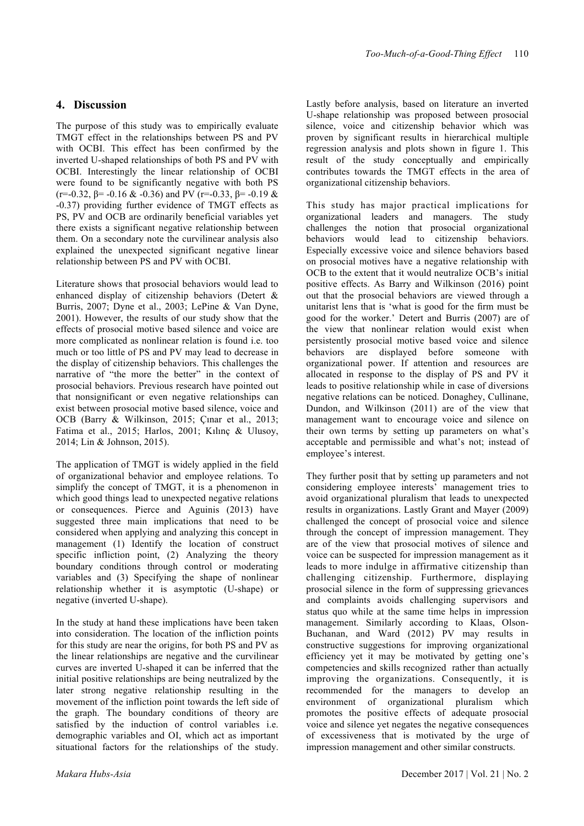## **4. Discussion**

The purpose of this study was to empirically evaluate TMGT effect in the relationships between PS and PV with OCBI. This effect has been confirmed by the inverted U-shaped relationships of both PS and PV with OCBI. Interestingly the linear relationship of OCBI were found to be significantly negative with both PS (r=-0.32,  $\beta$ = -0.16 & -0.36) and PV (r=-0.33,  $\beta$ = -0.19 & -0.37) providing further evidence of TMGT effects as PS, PV and OCB are ordinarily beneficial variables yet there exists a significant negative relationship between them. On a secondary note the curvilinear analysis also explained the unexpected significant negative linear relationship between PS and PV with OCBI.

Literature shows that prosocial behaviors would lead to enhanced display of citizenship behaviors (Detert & Burris, 2007; Dyne et al., 2003; LePine & Van Dyne, 2001). However, the results of our study show that the effects of prosocial motive based silence and voice are more complicated as nonlinear relation is found i.e. too much or too little of PS and PV may lead to decrease in the display of citizenship behaviors. This challenges the narrative of "the more the better" in the context of prosocial behaviors. Previous research have pointed out that nonsignificant or even negative relationships can exist between prosocial motive based silence, voice and OCB (Barry & Wilkinson, 2015; Çınar et al., 2013; Fatima et al., 2015; Harlos, 2001; Kılınç & Ulusoy, 2014; Lin & Johnson, 2015).

The application of TMGT is widely applied in the field of organizational behavior and employee relations. To simplify the concept of TMGT, it is a phenomenon in which good things lead to unexpected negative relations or consequences. Pierce and Aguinis (2013) have suggested three main implications that need to be considered when applying and analyzing this concept in management (1) Identify the location of construct specific infliction point, (2) Analyzing the theory boundary conditions through control or moderating variables and (3) Specifying the shape of nonlinear relationship whether it is asymptotic (U-shape) or negative (inverted U-shape).

In the study at hand these implications have been taken into consideration. The location of the infliction points for this study are near the origins, for both PS and PV as the linear relationships are negative and the curvilinear curves are inverted U-shaped it can be inferred that the initial positive relationships are being neutralized by the later strong negative relationship resulting in the movement of the infliction point towards the left side of the graph. The boundary conditions of theory are satisfied by the induction of control variables i.e. demographic variables and OI, which act as important situational factors for the relationships of the study. Lastly before analysis, based on literature an inverted U-shape relationship was proposed between prosocial silence, voice and citizenship behavior which was proven by significant results in hierarchical multiple regression analysis and plots shown in figure 1. This result of the study conceptually and empirically contributes towards the TMGT effects in the area of organizational citizenship behaviors.

This study has major practical implications for organizational leaders and managers. The study challenges the notion that prosocial organizational behaviors would lead to citizenship behaviors. Especially excessive voice and silence behaviors based on prosocial motives have a negative relationship with OCB to the extent that it would neutralize OCB's initial positive effects. As Barry and Wilkinson (2016) point out that the prosocial behaviors are viewed through a unitarist lens that is 'what is good for the firm must be good for the worker.' Detert and Burris (2007) are of the view that nonlinear relation would exist when persistently prosocial motive based voice and silence behaviors are displayed before someone with organizational power. If attention and resources are allocated in response to the display of PS and PV it leads to positive relationship while in case of diversions negative relations can be noticed. Donaghey, Cullinane, Dundon, and Wilkinson (2011) are of the view that management want to encourage voice and silence on their own terms by setting up parameters on what's acceptable and permissible and what's not; instead of employee's interest.

They further posit that by setting up parameters and not considering employee interests' management tries to avoid organizational pluralism that leads to unexpected results in organizations. Lastly Grant and Mayer (2009) challenged the concept of prosocial voice and silence through the concept of impression management. They are of the view that prosocial motives of silence and voice can be suspected for impression management as it leads to more indulge in affirmative citizenship than challenging citizenship. Furthermore, displaying prosocial silence in the form of suppressing grievances and complaints avoids challenging supervisors and status quo while at the same time helps in impression management. Similarly according to Klaas, Olson-Buchanan, and Ward (2012) PV may results in constructive suggestions for improving organizational efficiency yet it may be motivated by getting one's competencies and skills recognized rather than actually improving the organizations. Consequently, it is recommended for the managers to develop an environment of organizational pluralism which promotes the positive effects of adequate prosocial voice and silence yet negates the negative consequences of excessiveness that is motivated by the urge of impression management and other similar constructs.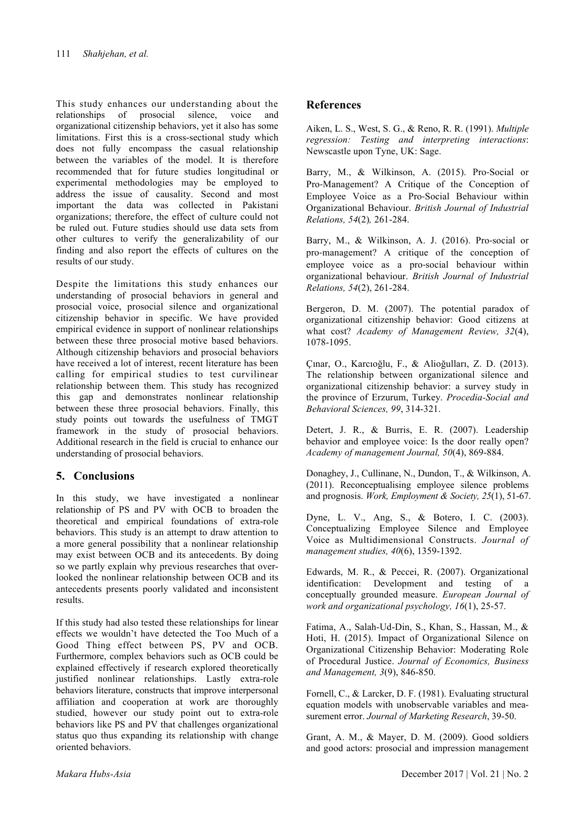This study enhances our understanding about the relationships of prosocial silence, voice and organizational citizenship behaviors, yet it also has some limitations. First this is a cross-sectional study which does not fully encompass the casual relationship between the variables of the model. It is therefore recommended that for future studies longitudinal or experimental methodologies may be employed to address the issue of causality. Second and most important the data was collected in Pakistani organizations; therefore, the effect of culture could not be ruled out. Future studies should use data sets from other cultures to verify the generalizability of our finding and also report the effects of cultures on the results of our study.

Despite the limitations this study enhances our understanding of prosocial behaviors in general and prosocial voice, prosocial silence and organizational citizenship behavior in specific. We have provided empirical evidence in support of nonlinear relationships between these three prosocial motive based behaviors. Although citizenship behaviors and prosocial behaviors have received a lot of interest, recent literature has been calling for empirical studies to test curvilinear relationship between them. This study has recognized this gap and demonstrates nonlinear relationship between these three prosocial behaviors. Finally, this study points out towards the usefulness of TMGT framework in the study of prosocial behaviors. Additional research in the field is crucial to enhance our understanding of prosocial behaviors.

## **5. Conclusions**

In this study, we have investigated a nonlinear relationship of PS and PV with OCB to broaden the theoretical and empirical foundations of extra-role behaviors. This study is an attempt to draw attention to a more general possibility that a nonlinear relationship may exist between OCB and its antecedents. By doing so we partly explain why previous researches that overlooked the nonlinear relationship between OCB and its antecedents presents poorly validated and inconsistent results.

If this study had also tested these relationships for linear effects we wouldn't have detected the Too Much of a Good Thing effect between PS, PV and OCB. Furthermore, complex behaviors such as OCB could be explained effectively if research explored theoretically justified nonlinear relationships. Lastly extra-role behaviors literature, constructs that improve interpersonal affiliation and cooperation at work are thoroughly studied, however our study point out to extra-role behaviors like PS and PV that challenges organizational status quo thus expanding its relationship with change oriented behaviors.

#### **References**

Aiken, L. S., West, S. G., & Reno, R. R. (1991). *Multiple regression: Testing and interpreting interactions*: Newscastle upon Tyne, UK: Sage.

Barry, M., & Wilkinson, A. (2015). Pro-Social or Pro-Management? A Critique of the Conception of Employee Voice as a Pro-Social Behaviour within Organizational Behaviour. *British Journal of Industrial Relations, 54*(2)*,* 261-284.

Barry, M., & Wilkinson, A. J. (2016). Pro-social or pro-management? A critique of the conception of employee voice as a pro-social behaviour within organizational behaviour. *British Journal of Industrial Relations, 54*(2), 261-284.

Bergeron, D. M. (2007). The potential paradox of organizational citizenship behavior: Good citizens at what cost? *Academy of Management Review, 32*(4), 1078-1095.

Çınar, O., Karcıoğlu, F., & Alioğulları, Z. D. (2013). The relationship between organizational silence and organizational citizenship behavior: a survey study in the province of Erzurum, Turkey. *Procedia-Social and Behavioral Sciences, 99*, 314-321.

Detert, J. R., & Burris, E. R. (2007). Leadership behavior and employee voice: Is the door really open? *Academy of management Journal, 50*(4), 869-884.

Donaghey, J., Cullinane, N., Dundon, T., & Wilkinson, A. (2011). Reconceptualising employee silence problems and prognosis. *Work, Employment & Society, 25*(1), 51-67.

Dyne, L. V., Ang, S., & Botero, I. C. (2003). Conceptualizing Employee Silence and Employee Voice as Multidimensional Constructs. *Journal of management studies, 40*(6), 1359-1392.

Edwards, M. R., & Peccei, R. (2007). Organizational identification: Development and testing of a conceptually grounded measure. *European Journal of work and organizational psychology, 16*(1), 25-57.

Fatima, A., Salah-Ud-Din, S., Khan, S., Hassan, M., & Hoti, H. (2015). Impact of Organizational Silence on Organizational Citizenship Behavior: Moderating Role of Procedural Justice. *Journal of Economics, Business and Management, 3*(9), 846-850.

Fornell, C., & Larcker, D. F. (1981). Evaluating structural equation models with unobservable variables and measurement error. *Journal of Marketing Research*, 39-50.

Grant, A. M., & Mayer, D. M. (2009). Good soldiers and good actors: prosocial and impression management